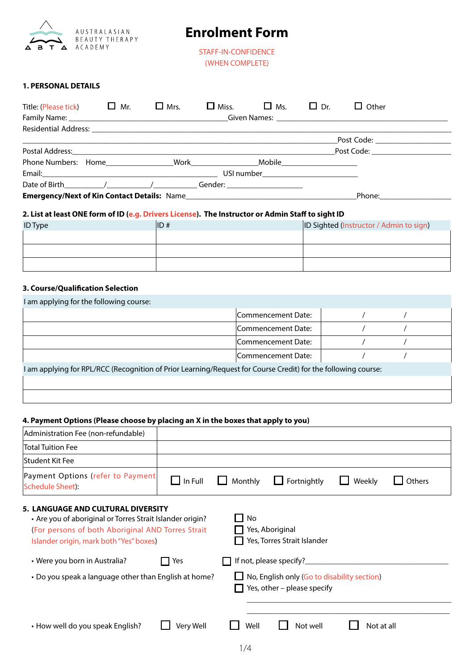

# **Enrolment Form**

STAFF-IN-CONFIDENCE (WHEN COMPLETE)

# **1. PERSONAL DETAILS**

| Title: (Please tick) $\Box$ Mr.             |  | $\Box$ Mrs. | $\Box$ Miss. | $\Box$ Ms.                         | $\Box$ Dr. | Other                                                                                                                                                                                                                          |  |
|---------------------------------------------|--|-------------|--------------|------------------------------------|------------|--------------------------------------------------------------------------------------------------------------------------------------------------------------------------------------------------------------------------------|--|
|                                             |  |             |              |                                    |            |                                                                                                                                                                                                                                |  |
|                                             |  |             |              |                                    |            |                                                                                                                                                                                                                                |  |
|                                             |  |             |              |                                    |            | Post Code: ________________                                                                                                                                                                                                    |  |
|                                             |  |             |              |                                    |            | Post Code: <u>_____________</u>                                                                                                                                                                                                |  |
|                                             |  |             |              |                                    |            |                                                                                                                                                                                                                                |  |
|                                             |  |             |              | USI number _______________________ |            |                                                                                                                                                                                                                                |  |
|                                             |  |             |              |                                    |            |                                                                                                                                                                                                                                |  |
| Emergency/Next of Kin Contact Details: Name |  |             |              |                                    |            | Phone: the contract of the contract of the contract of the contract of the contract of the contract of the contract of the contract of the contract of the contract of the contract of the contract of the contract of the con |  |

# **2. List at least ONE form of ID (e.g. Drivers License). The Instructor or Admin Staff to sight ID**

| <b>ID Type</b> | ID# | <b>ID Sighted (Instructor / Admin to sign)</b> |
|----------------|-----|------------------------------------------------|
|                |     |                                                |
|                |     |                                                |
|                |     |                                                |

### **3. Course/Qualification Selection**

| I am applying for the following course:                                                                       |                    |  |
|---------------------------------------------------------------------------------------------------------------|--------------------|--|
|                                                                                                               | Commencement Date: |  |
|                                                                                                               | Commencement Date: |  |
|                                                                                                               | Commencement Date: |  |
|                                                                                                               | Commencement Date: |  |
| I am applying for RPL/RCC (Recognition of Prior Learning/Request for Course Credit) for the following course: |                    |  |
|                                                                                                               |                    |  |
|                                                                                                               |                    |  |

### **4. Payment Options (Please choose by placing an X in the boxes that apply to you)**

| Administration Fee (non-refundable)                                                                                                                                                                    |                     |             |                                                                            |            |        |
|--------------------------------------------------------------------------------------------------------------------------------------------------------------------------------------------------------|---------------------|-------------|----------------------------------------------------------------------------|------------|--------|
| <b>Total Tuition Fee</b>                                                                                                                                                                               |                     |             |                                                                            |            |        |
| <b>Student Kit Fee</b>                                                                                                                                                                                 |                     |             |                                                                            |            |        |
| Payment Options (refer to Payment<br><b>Schedule Sheet):</b>                                                                                                                                           | $\bigsqcup$ In Full | Monthly     | Fortnightly                                                                | Weekly     | Others |
| <b>5. LANGUAGE AND CULTURAL DIVERSITY</b><br>• Are you of aboriginal or Torres Strait Islander origin?<br>(For persons of both Aboriginal AND Torres Strait<br>Islander origin, mark both "Yes" boxes) |                     | No          | Yes, Aboriginal<br>Yes, Torres Strait Islander                             |            |        |
| • Were you born in Australia?                                                                                                                                                                          | Yes                 |             |                                                                            |            |        |
| • Do you speak a language other than English at home?                                                                                                                                                  |                     |             | No, English only (Go to disability section)<br>Yes, other - please specify |            |        |
|                                                                                                                                                                                                        |                     |             |                                                                            |            |        |
| • How well do you speak English?                                                                                                                                                                       | Very Well           | Well        | Not well                                                                   | Not at all |        |
|                                                                                                                                                                                                        |                     | $1/\Lambda$ |                                                                            |            |        |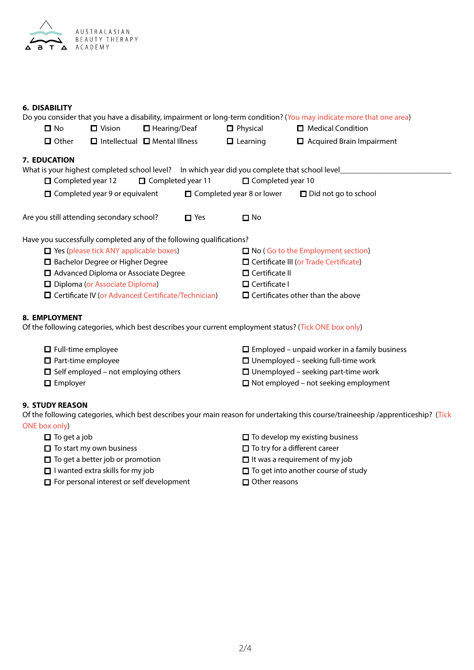

### **6. DISABILITY**

|                                                                      |                                               |                          |                 |                                                                                               | Do you consider that you have a disability, impairment or long-term condition? (You may indicate more that one area) |  |  |  |  |
|----------------------------------------------------------------------|-----------------------------------------------|--------------------------|-----------------|-----------------------------------------------------------------------------------------------|----------------------------------------------------------------------------------------------------------------------|--|--|--|--|
| $\square$ No<br>$\Box$ Hearing/Deaf<br>$\Box$ Vision                 |                                               |                          | $\Box$ Physical | $\Box$ Medical Condition                                                                      |                                                                                                                      |  |  |  |  |
| □ Other                                                              | $\Box$ Intellectual $\Box$ Mental Illness     |                          |                 | $\Box$ Learning                                                                               | Acquired Brain Impairment                                                                                            |  |  |  |  |
| 7. EDUCATION                                                         |                                               |                          |                 |                                                                                               |                                                                                                                      |  |  |  |  |
|                                                                      |                                               |                          |                 | What is your highest completed school level? In which year did you complete that school level |                                                                                                                      |  |  |  |  |
| $\Box$ Completed year 12                                             |                                               | $\Box$ Completed year 11 |                 |                                                                                               | □ Completed year 10                                                                                                  |  |  |  |  |
|                                                                      | $\Box$ Completed year 9 or equivalent         |                          |                 | $\Box$ Completed year 8 or lower                                                              | $\Box$ Did not go to school                                                                                          |  |  |  |  |
| Are you still attending secondary school?                            |                                               |                          | $\Box$ Yes      | $\square$ No                                                                                  |                                                                                                                      |  |  |  |  |
| Have you successfully completed any of the following qualifications? |                                               |                          |                 |                                                                                               |                                                                                                                      |  |  |  |  |
|                                                                      | $\Box$ Yes (please tick ANY applicable boxes) |                          |                 |                                                                                               | □ No (Go to the Employment section)                                                                                  |  |  |  |  |
| □ Bachelor Degree or Higher Degree                                   |                                               |                          |                 |                                                                                               | $\Box$ Certificate III (or Trade Certificate)                                                                        |  |  |  |  |
| □ Advanced Diploma or Associate Degree                               |                                               |                          |                 | $\Box$ Certificate II                                                                         |                                                                                                                      |  |  |  |  |
| Diploma (or Associate Diploma)                                       |                                               |                          |                 | $\Box$ Certificate I                                                                          |                                                                                                                      |  |  |  |  |
| $\Box$ Certificate IV (or Advanced Certificate/Technician)           |                                               |                          |                 |                                                                                               | $\Box$ Certificates other than the above                                                                             |  |  |  |  |
| 8. EMPLOYMENT                                                        |                                               |                          |                 |                                                                                               | Of the following categories, which best describes your current employment status? (Tick ONE box only)                |  |  |  |  |
| $\Box$ Full-time employee                                            |                                               |                          |                 |                                                                                               | $\Box$ Employed – unpaid worker in a family business                                                                 |  |  |  |  |
| $\Box$ Part-time employee                                            |                                               |                          |                 |                                                                                               | $\Box$ Unemployed – seeking full-time work                                                                           |  |  |  |  |
| $\Box$ Self employed – not employing others                          |                                               |                          |                 |                                                                                               | $\Box$ Unemployed – seeking part-time work                                                                           |  |  |  |  |
| $\Box$ Employer                                                      |                                               |                          |                 |                                                                                               | $\Box$ Not employed – not seeking employment                                                                         |  |  |  |  |

# **9. STUDY REASON**

Of the following categories, which best describes your main reason for undertaking this course/traineeship /apprenticeship? (Tick ONE box only)

- 
- 
- $\Box$  To get a better job or promotion  $\Box$  It was a requirement of my job
- 
- $\Box$  For personal interest or self development  $\Box$  Other reasons
- $\Box$  To get a job  $\Box$  To develop my existing business
- $\Box$  To start my own business  $\Box$  To try for a different career
	-
- $\Box$  I wanted extra skills for my job  $\Box$  To get into another course of study
	-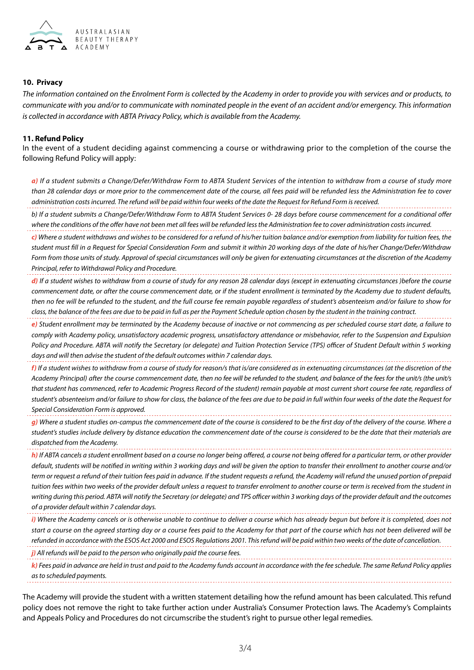

### **10. Privacy**

*The information contained on the Enrolment Form is collected by the Academy in order to provide you with services and or products, to communicate with you and/or to communicate with nominated people in the event of an accident and/or emergency. This information is collected in accordance with ABTA Privacy Policy, which is available from the Academy.*

### **11. Refund Policy**

In the event of a student deciding against commencing a course or withdrawing prior to the completion of the course the following Refund Policy will apply:

*a) If a student submits a Change/Defer/Withdraw Form to ABTA Student Services of the intention to withdraw from a course of study more than 28 calendar days or more prior to the commencement date of the course, all fees paid will be refunded less the Administration fee to cover administration costs incurred. The refund will be paid within four weeks of the date the Request for Refund Form is received.*

*b) If a student submits a Change/Defer/Withdraw Form to ABTA Student Services 0- 28 days before course commencement for a conditional offer where the conditions of the offer have not been met all fees will be refunded less the Administration fee to cover administration costs incurred.*

*c) Where a student withdraws and wishes to be considered for a refund of his/her tuition balance and/or exemption from liability for tuition fees, the student must fill in a Request for Special Consideration Form and submit it within 20 working days of the date of his/her Change/Defer/Withdraw Form from those units of study. Approval of special circumstances will only be given for extenuating circumstances at the discretion of the Academy Principal, refer to Withdrawal Policy and Procedure.*

*d) If a student wishes to withdraw from a course of study for any reason 28 calendar days (except in extenuating circumstances )before the course commencement date, or after the course commencement date, or if the student enrollment is terminated by the Academy due to student defaults, then no fee will be refunded to the student, and the full course fee remain payable regardless of student's absenteeism and/or failure to show for class, the balance of the fees are due to be paid in full as per the Payment Schedule option chosen by the student in the training contract.*

*e) Student enrollment may be terminated by the Academy because of inactive or not commencing as per scheduled course start date, a failure to comply with Academy policy, unsatisfactory academic progress, unsatisfactory attendance or misbehavior, refer to the Suspension and Expulsion Policy and Procedure. ABTA will notify the Secretary (or delegate) and Tuition Protection Service (TPS) officer of Student Default within 5 working days and will then advise the student of the default outcomes within 7 calendar days.*

*f) If a student wishes to withdraw from a course of study for reason/s that is/are considered as in extenuating circumstances (at the discretion of the*  Academy Principal) after the course commencement date, then no fee will be refunded to the student, and balance of the fees for the unit/s (the unit/s *that student has commenced, refer to Academic Progress Record of the student) remain payable at most current short course fee rate, regardless of student's absenteeism and/or failure to show for class, the balance of the fees are due to be paid in full within four weeks of the date the Request for Special Consideration Form is approved.*

*g) Where a student studies on-campus the commencement date of the course is considered to be the first day of the delivery of the course. Where a student's studies include delivery by distance education the commencement date of the course is considered to be the date that their materials are dispatched from the Academy.*

*h) If ABTA cancels a student enrollment based on a course no longer being offered, a course not being offered for a particular term, or other provider default, students will be notified in writing within 3 working days and will be given the option to transfer their enrollment to another course and/or term or request a refund of their tuition fees paid in advance. If the student requests a refund, the Academy will refund the unused portion of prepaid tuition fees within two weeks of the provider default unless a request to transfer enrolment to another course or term is received from the student in writing during this period. ABTA will notify the Secretary (or delegate) and TPS officer within 3 working days of the provider default and the outcomes of a provider default within 7 calendar days.* 

*i*) Where the Academy cancels or is otherwise unable to continue to deliver a course which has already begun but before it is completed, does not *start a course on the agreed starting day or a course fees paid to the Academy for that part of the course which has not been delivered will be refunded in accordance with the ESOS Act 2000 and ESOS Regulations 2001. This refund will be paid within two weeks of the date of cancellation.*

*j) All refunds will be paid to the person who originally paid the course fees.*

*k) Fees paid in advance are held in trust and paid to the Academy funds account in accordance with the fee schedule. The same Refund Policy applies as to scheduled payments.* 

The Academy will provide the student with a written statement detailing how the refund amount has been calculated. This refund policy does not remove the right to take further action under Australia's Consumer Protection laws. The Academy's Complaints and Appeals Policy and Procedures do not circumscribe the student's right to pursue other legal remedies.